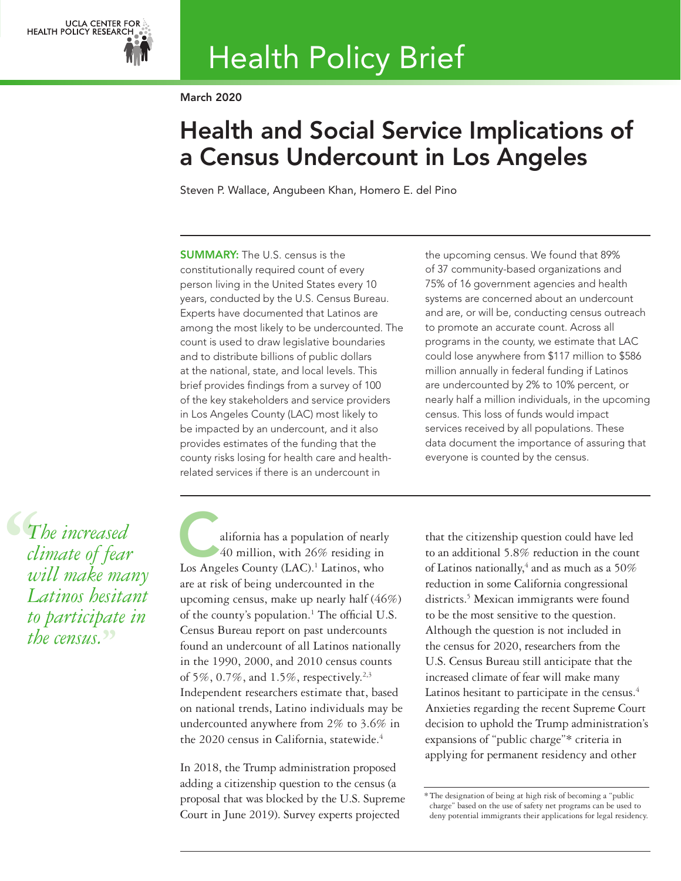

# Health Policy Brief

March 2020

# Health and Social Service Implications of a Census Undercount in Los Angeles

Steven P. Wallace, Angubeen Khan, Homero E. del Pino

SUMMARY: The U.S. census is the constitutionally required count of every person living in the United States every 10 years, conducted by the U.S. Census Bureau. Experts have documented that Latinos are among the most likely to be undercounted. The count is used to draw legislative boundaries and to distribute billions of public dollars at the national, state, and local levels. This brief provides findings from a survey of 100 of the key stakeholders and service providers in Los Angeles County (LAC) most likely to be impacted by an undercount, and it also provides estimates of the funding that the county risks losing for health care and healthrelated services if there is an undercount in

the upcoming census. We found that 89% of 37 community-based organizations and 75% of 16 government agencies and health systems are concerned about an undercount and are, or will be, conducting census outreach to promote an accurate count. Across all programs in the county, we estimate that LAC could lose anywhere from \$117 million to \$586 million annually in federal funding if Latinos are undercounted by 2% to 10% percent, or nearly half a million individuals, in the upcoming census. This loss of funds would impact services received by all populations. These data document the importance of assuring that everyone is counted by the census.

 $\begin{align} \mathcal{L}_{T_i} \frac{d}{dt} \frac{d}{dt} \frac{d}{dt} \frac{d}{dt} \frac{d}{dt} \frac{d}{dt} \frac{d}{dt} \frac{d}{dt} \frac{d}{dt} \frac{d}{dt} \frac{d}{dt} \frac{d}{dt} \frac{d}{dt} \frac{d}{dt} \frac{d}{dt} \frac{d}{dt} \frac{d}{dt} \frac{d}{dt} \frac{d}{dt} \frac{d}{dt} \frac{d}{dt} \frac{d}{dt} \frac{d}{dt} \frac{d}{dt} \frac{d}{dt} \frac{d}{dt} \frac{d}{dt} \frac{d}{dt} \frac{d}{dt} \frac{$ *The increased climate of fear will make many Latinos hesitant to participate in the census.***''**

alifornia has a population of nearly 40 million, with 26% residing in Los Angeles County (LAC).<sup>1</sup> Latinos, who are at risk of being undercounted in the upcoming census, make up nearly half (46%) of the county's population.<sup>1</sup> The official U.S. Census Bureau report on past undercounts found an undercount of all Latinos nationally in the 1990, 2000, and 2010 census counts of 5%, 0.7%, and 1.5%, respectively.<sup>2,3</sup> Independent researchers estimate that, based on national trends, Latino individuals may be undercounted anywhere from 2% to 3.6% in the 2020 census in California, statewide.<sup>4</sup>

In 2018, the Trump administration proposed adding a citizenship question to the census (a proposal that was blocked by the U.S. Supreme Court in June 2019). Survey experts projected

that the citizenship question could have led to an additional 5.8% reduction in the count of Latinos nationally,<sup>4</sup> and as much as a 50% reduction in some California congressional districts.<sup>5</sup> Mexican immigrants were found to be the most sensitive to the question. Although the question is not included in the census for 2020, researchers from the U.S. Census Bureau still anticipate that the increased climate of fear will make many Latinos hesitant to participate in the census.<sup>4</sup> Anxieties regarding the recent Supreme Court decision to uphold the Trump administration's expansions of "public charge"\* criteria in applying for permanent residency and other

<sup>\*</sup>The designation of being at high risk of becoming a "public charge" based on the use of safety net programs can be used to deny potential immigrants their applications for legal residency.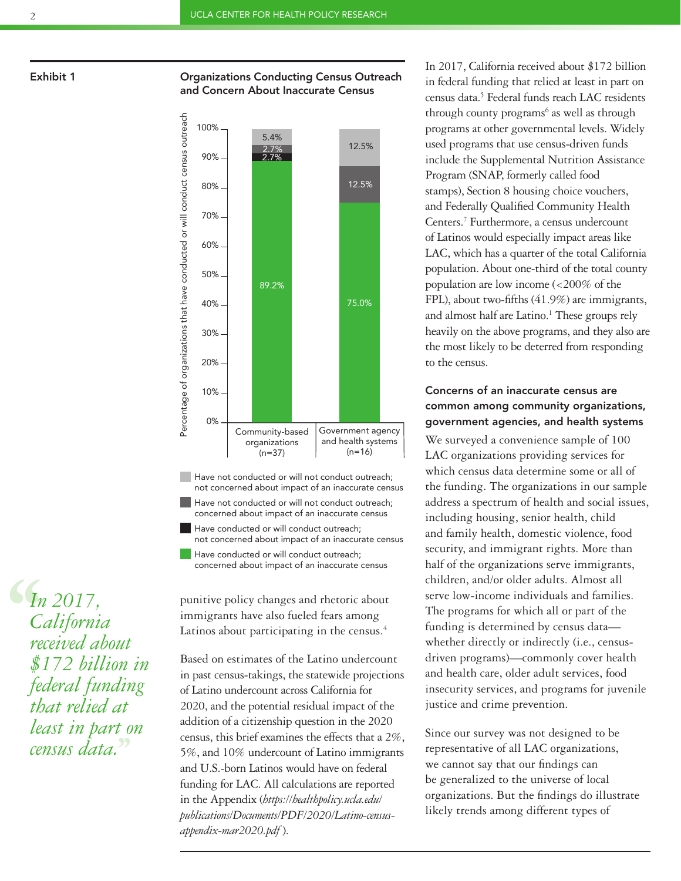# Exhibit 1 **Consulter Conducting Census Outreach** Organizations Conducting Census Outreach and Concern About Inaccurate Census



Have not conducted or will not conduct outreach; not concerned about impact of an inaccurate census

- Have not conducted or will not conduct outreach; concerned about impact of an inaccurate census
- Have conducted or will conduct outreach; not concerned about impact of an inaccurate census
- Have conducted or will conduct outreach; concerned about impact of an inaccurate census

punitive policy changes and rhetoric about immigrants have also fueled fears among Latinos about participating in the census.<sup>4</sup>

Based on estimates of the Latino undercount in past census-takings, the statewide projections of Latino undercount across California for 2020, and the potential residual impact of the addition of a citizenship question in the 2020 census, this brief examines the effects that a 2%, 5%, and 10% undercount of Latino immigrants and U.S.-born Latinos would have on federal funding for LAC. All calculations are reported in the Appendix (*https://healthpolicy.ucla.edu/ [publications/Documents/PDF/2020/Latino-census](https://healthpolicy.ucla.edu/publications/Documents/PDF/2020/Latino-census-appendix-mar2020.pdf)appendix-mar2020.pdf* ).

In 2017, California received about \$172 billion in federal funding that relied at least in part on census data.<sup>5</sup> Federal funds reach LAC residents through county programs<sup>6</sup> as well as through programs at other governmental levels. Widely used programs that use census-driven funds include the Supplemental Nutrition Assistance Program (SNAP, formerly called food stamps), Section 8 housing choice vouchers, and Federally Qualified Community Health Centers.7 Furthermore, a census undercount of Latinos would especially impact areas like LAC, which has a quarter of the total California population. About one-third of the total county population are low income (<200% of the FPL), about two-fifths (41.9%) are immigrants, and almost half are Latino.<sup>1</sup> These groups rely heavily on the above programs, and they also are the most likely to be deterred from responding to the census.

# Concerns of an inaccurate census are common among community organizations, government agencies, and health systems

We surveyed a convenience sample of 100 LAC organizations providing services for which census data determine some or all of the funding. The organizations in our sample address a spectrum of health and social issues, including housing, senior health, child and family health, domestic violence, food security, and immigrant rights. More than half of the organizations serve immigrants, children, and/or older adults. Almost all serve low-income individuals and families. The programs for which all or part of the funding is determined by census data whether directly or indirectly (i.e., censusdriven programs)—commonly cover health and health care, older adult services, food insecurity services, and programs for juvenile justice and crime prevention.

Since our survey was not designed to be representative of all LAC organizations, we cannot say that our findings can be generalized to the universe of local organizations. But the findings do illustrate likely trends among different types of

**6**<br> *C*<br> *red*<br>  $\oint$ *In 2017, California received about \$172 billion in federal funding that relied at least in part on census data.***''**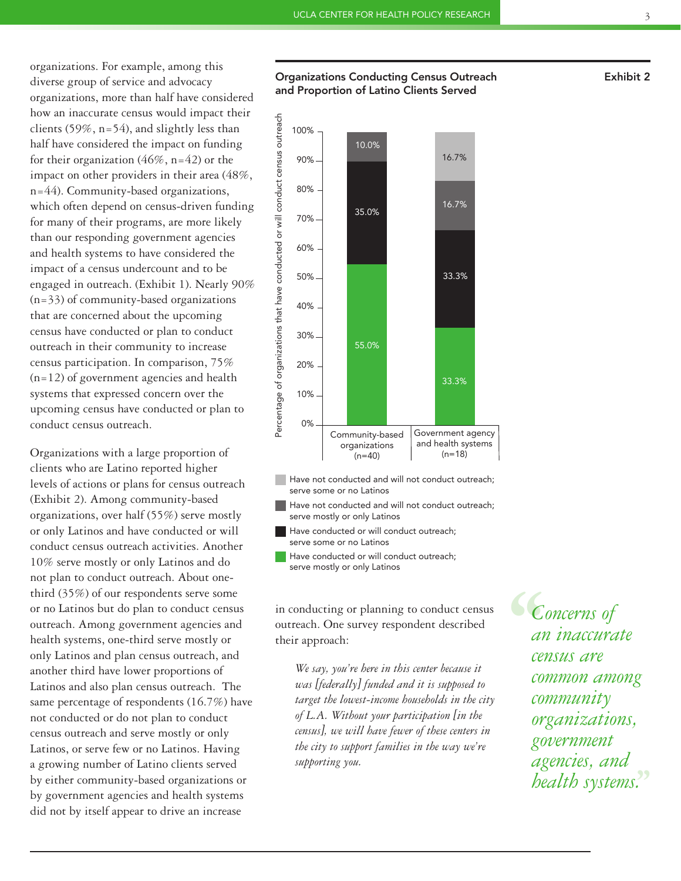organizations. For example, among this diverse group of service and advocacy organizations, more than half have considered how an inaccurate census would impact their clients (59%, n=54), and slightly less than half have considered the impact on funding for their organization  $(46\%, n=42)$  or the impact on other providers in their area (48%, n=44). Community-based organizations, which often depend on census-driven funding for many of their programs, are more likely than our responding government agencies and health systems to have considered the impact of a census undercount and to be engaged in outreach. (Exhibit 1). Nearly 90% (n=33) of community-based organizations that are concerned about the upcoming census have conducted or plan to conduct outreach in their community to increase census participation. In comparison, 75% (n=12) of government agencies and health systems that expressed concern over the upcoming census have conducted or plan to conduct census outreach.

Organizations with a large proportion of clients who are Latino reported higher levels of actions or plans for census outreach (Exhibit 2). Among community-based organizations, over half (55%) serve mostly or only Latinos and have conducted or will conduct census outreach activities. Another 10% serve mostly or only Latinos and do not plan to conduct outreach. About onethird (35%) of our respondents serve some or no Latinos but do plan to conduct census outreach. Among government agencies and health systems, one-third serve mostly or only Latinos and plan census outreach, and another third have lower proportions of Latinos and also plan census outreach. The same percentage of respondents (16.7%) have not conducted or do not plan to conduct census outreach and serve mostly or only Latinos, or serve few or no Latinos. Having a growing number of Latino clients served by either community-based organizations or by government agencies and health systems did not by itself appear to drive an increase

# Organizations Conducting Census Outreach and Proportion of Latino Clients Served



- Have not conducted and will not conduct outreach; serve some or no Latinos
- Have not conducted and will not conduct outreach; serve mostly or only Latinos
- Have conducted or will conduct outreach; serve some or no Latinos
- Have conducted or will conduct outreach; serve mostly or only Latinos

in conducting or planning to conduct census outreach. One survey respondent described their approach:

*We say, you're here in this center because it was [federally] funded and it is supposed to target the lowest-income households in the city of L.A. Without your participation [in the census], we will have fewer of these centers in the city to support families in the way we're supporting you.*

**C**<br>
an<br>
cen<br>
con *Concerns of an inaccurate census are common among community organizations, government agencies, and health systems.***''**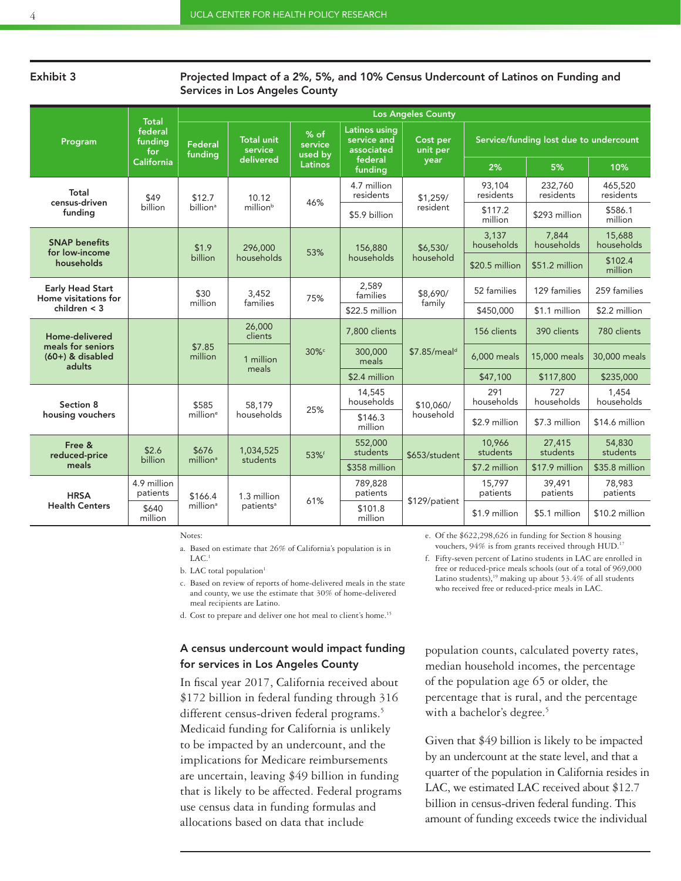### Exhibit 3

### Projected Impact of a 2%, 5%, and 10% Census Undercount of Latinos on Funding and Services in Los Angeles County

| Program                                                             | <b>Total</b><br>federal<br>fundina<br>for<br>California | <b>Los Angeles County</b>       |                                           |                                              |                                                                  |                              |                                        |                      |                      |
|---------------------------------------------------------------------|---------------------------------------------------------|---------------------------------|-------------------------------------------|----------------------------------------------|------------------------------------------------------------------|------------------------------|----------------------------------------|----------------------|----------------------|
|                                                                     |                                                         | Federal<br>fundina              | <b>Total unit</b><br>service<br>delivered | % of<br>service<br>used by<br><b>Latinos</b> | Latinos using<br>service and<br>associated<br>federal<br>funding | Cost per<br>unit per<br>year | Service/funding lost due to undercount |                      |                      |
|                                                                     |                                                         |                                 |                                           |                                              |                                                                  |                              | 2%                                     | 5%                   | 10%                  |
| Total<br>census-driven<br>funding                                   | \$49<br>billion                                         | \$12.7<br>billion <sup>a</sup>  | 10.12<br>millionb                         | 46%                                          | 4.7 million<br>residents                                         | \$1,259/<br>resident         | 93,104<br>residents                    | 232,760<br>residents | 465,520<br>residents |
|                                                                     |                                                         |                                 |                                           |                                              | \$5.9 billion                                                    |                              | \$117.2<br>million                     | \$293 million        | \$586.1<br>million   |
| <b>SNAP benefits</b><br>for low-income<br>households                |                                                         | \$1.9<br>billion                | 296,000<br>households                     | 53%                                          | 156,880<br>households                                            | \$6.530/<br>household        | 3,137<br>households                    | 7.844<br>households  | 15,688<br>households |
|                                                                     |                                                         |                                 |                                           |                                              |                                                                  |                              | \$20.5 million                         | \$51.2 million       | \$102.4<br>million   |
| <b>Early Head Start</b><br>Home visitations for<br>children $<$ 3   |                                                         | \$30                            | 3,452                                     | 75%                                          | 2.589<br>families                                                | \$8,690/<br>family           | 52 families                            | 129 families         | 259 families         |
|                                                                     |                                                         | million                         | families                                  |                                              | \$22.5 million                                                   |                              | \$450,000                              | \$1.1 million        | \$2.2 million        |
| Home-delivered<br>meals for seniors<br>$(60+)$ & disabled<br>adults |                                                         | \$7.85<br>million               | 26,000<br>clients                         | 30%c                                         | 7.800 clients                                                    | \$7.85/meal <sup>d</sup>     | 156 clients                            | 390 clients          | 780 clients          |
|                                                                     |                                                         |                                 | 1 million<br>meals                        |                                              | 300,000<br>meals                                                 |                              | 6.000 meals                            | 15,000 meals         | 30,000 meals         |
|                                                                     |                                                         |                                 |                                           |                                              | \$2.4 million                                                    |                              | \$47,100                               | \$117,800            | \$235,000            |
| Section 8<br>housing vouchers                                       |                                                         | \$585<br>million <sup>e</sup>   | 58.179<br>households                      | 25%                                          | 14,545<br>households                                             | \$10,060/<br>household       | 291<br>households                      | 727<br>households    | 1.454<br>households  |
|                                                                     |                                                         |                                 |                                           |                                              | \$146.3<br>million                                               |                              | \$2.9 million                          | \$7.3 million        | \$14.6 million       |
| Free &<br>reduced-price<br>meals                                    | \$2.6<br>billion                                        | \$676<br>million <sup>a</sup>   | 1,034,525<br>students                     | 53%f                                         | 552,000<br>students                                              | \$653/student                | 10.966<br>students                     | 27,415<br>students   | 54,830<br>students   |
|                                                                     |                                                         |                                 |                                           |                                              | \$358 million                                                    |                              | \$7.2 million                          | \$17.9 million       | \$35.8 million       |
| <b>HRSA</b><br><b>Health Centers</b>                                | 4.9 million<br>patients                                 | \$166.4<br>million <sup>a</sup> | 1.3 million<br>patients <sup>a</sup>      | 61%                                          | 789.828<br>patients                                              | \$129/patient                | 15.797<br>patients                     | 39.491<br>patients   | 78.983<br>patients   |
|                                                                     | \$640<br>million                                        |                                 |                                           |                                              | \$101.8<br>million                                               |                              | \$1.9 million                          | \$5.1 million        | \$10.2 million       |

Notes:

a. Based on estimate that 26% of California's population is in  $LAC<sup>1</sup>$ 

b. LAC total population<sup>1</sup>

c. Based on review of reports of home-delivered meals in the state and county, we use the estimate that 30% of home-delivered meal recipients are Latino.

d. Cost to prepare and deliver one hot meal to client's home.15

# A census undercount would impact funding for services in Los Angeles County

In fiscal year 2017, California received about \$172 billion in federal funding through 316 different census-driven federal programs.<sup>5</sup> Medicaid funding for California is unlikely to be impacted by an undercount, and the implications for Medicare reimbursements are uncertain, leaving \$49 billion in funding that is likely to be affected. Federal programs use census data in funding formulas and allocations based on data that include

e. Of the \$622,298,626 in funding for Section 8 housing vouchers, 94% is from grants received through HUD.

f. Fifty-seven percent of Latino students in LAC are enrolled in free or reduced-price meals schools (out of a total of 969,000 Latino students), $19$  making up about 53.4% of all students who received free or reduced-price meals in LAC.

population counts, calculated poverty rates, median household incomes, the percentage of the population age 65 or older, the percentage that is rural, and the percentage with a bachelor's degree.<sup>5</sup>

Given that \$49 billion is likely to be impacted by an undercount at the state level, and that a quarter of the population in California resides in LAC, we estimated LAC received about \$12.7 billion in census-driven federal funding. This amount of funding exceeds twice the individual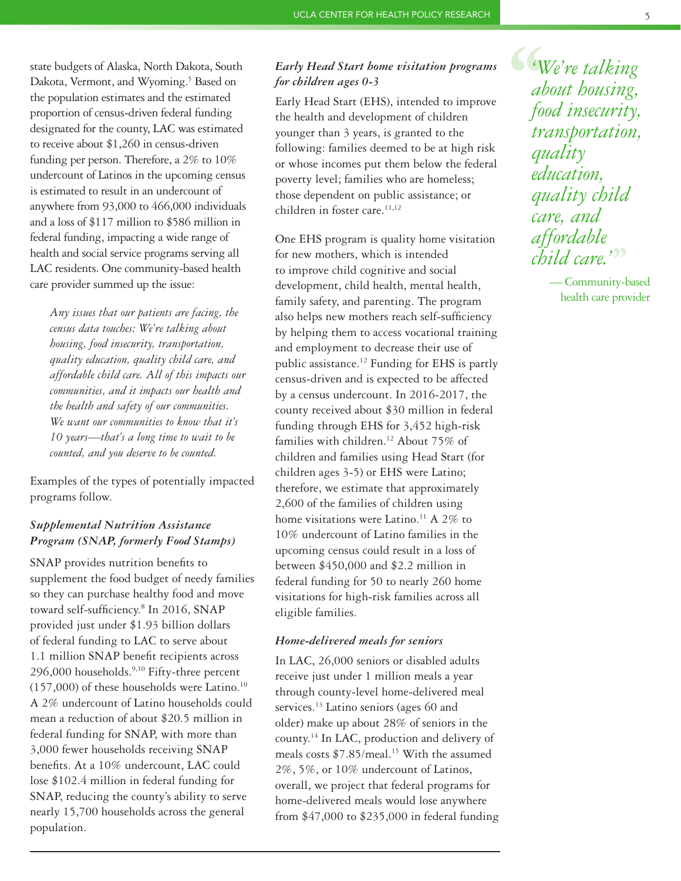state budgets of Alaska, North Dakota, South Dakota, Vermont, and Wyoming.<sup>5</sup> Based on the population estimates and the estimated proportion of census-driven federal funding designated for the county, LAC was estimated to receive about \$1,260 in census-driven funding per person. Therefore, a 2% to 10% undercount of Latinos in the upcoming census is estimated to result in an undercount of anywhere from 93,000 to 466,000 individuals and a loss of \$117 million to \$586 million in federal funding, impacting a wide range of health and social service programs serving all LAC residents. One community-based health care provider summed up the issue:

*Any issues that our patients are facing, the census data touches: We're talking about housing, food insecurity, transportation, quality education, quality child care, and affordable child care. All of this impacts our communities, and it impacts our health and the health and safety of our communities. We want our communities to know that it's 10 years—that's a long time to wait to be counted, and you deserve to be counted.*

Examples of the types of potentially impacted programs follow.

# *Supplemental Nutrition Assistance Program (SNAP, formerly Food Stamps)*

SNAP provides nutrition benefits to supplement the food budget of needy families so they can purchase healthy food and move toward self-sufficiency.8 In 2016, SNAP provided just under \$1.93 billion dollars of federal funding to LAC to serve about 1.1 million SNAP benefit recipients across 296,000 households.<sup>9,10</sup> Fifty-three percent  $(157,000)$  of these households were Latino.<sup>10</sup> A 2% undercount of Latino households could mean a reduction of about \$20.5 million in federal funding for SNAP, with more than 3,000 fewer households receiving SNAP benefits. At a 10% undercount, LAC could lose \$102.4 million in federal funding for SNAP, reducing the county's ability to serve nearly 15,700 households across the general population.

# *Early Head Start home visitation programs for children ages 0-3*

Early Head Start (EHS), intended to improve the health and development of children younger than 3 years, is granted to the following: families deemed to be at high risk or whose incomes put them below the federal poverty level; families who are homeless; those dependent on public assistance; or children in foster care.<sup>11,12</sup>

One EHS program is quality home visitation for new mothers, which is intended to improve child cognitive and social development, child health, mental health, family safety, and parenting. The program also helps new mothers reach self-sufficiency by helping them to access vocational training and employment to decrease their use of public assistance.12 Funding for EHS is partly census-driven and is expected to be affected by a census undercount. In 2016-2017, the county received about \$30 million in federal funding through EHS for 3,452 high-risk families with children.<sup>12</sup> About 75% of children and families using Head Start (for children ages 3-5) or EHS were Latino; therefore, we estimate that approximately 2,600 of the families of children using home visitations were Latino.<sup>11</sup> A 2% to 10% undercount of Latino families in the upcoming census could result in a loss of between \$450,000 and \$2.2 million in federal funding for 50 to nearly 260 home visitations for high-risk families across all eligible families.

# *Home-delivered meals for seniors*

In LAC, 26,000 seniors or disabled adults receive just under 1 million meals a year through county-level home-delivered meal services.<sup>13</sup> Latino seniors (ages 60 and older) make up about 28% of seniors in the county.14 In LAC, production and delivery of meals costs  $$7.85$ /meal.<sup>15</sup> With the assumed 2%, 5%, or 10% undercount of Latinos, overall, we project that federal programs for home-delivered meals would lose anywhere from \$47,000 to \$235,000 in federal funding **''** *'We're talking about housing, food insecurity, transportation, quality education, quality child care, and affordable child care.'* **''**

— Community-based health care provider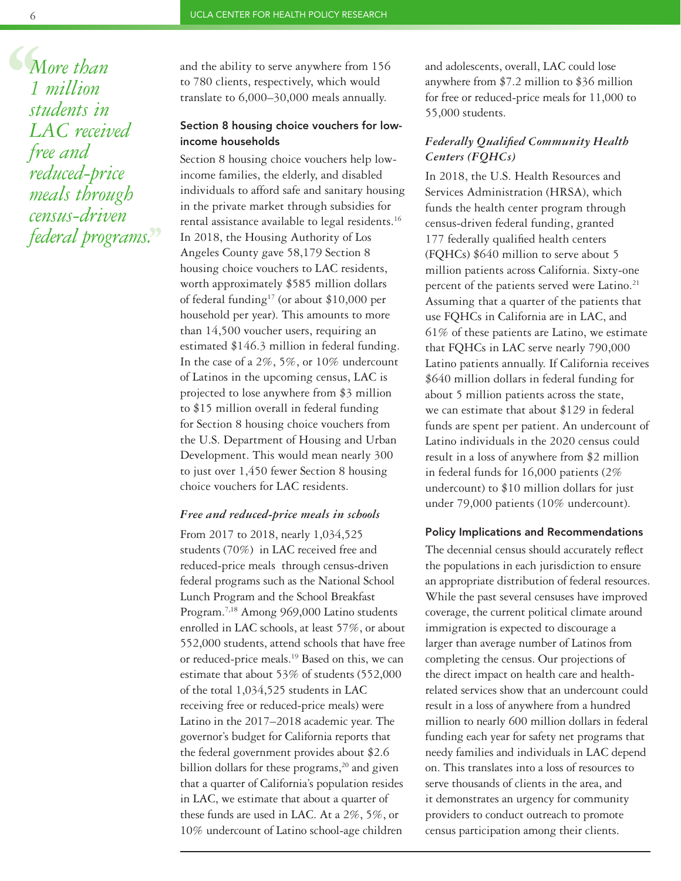**6**<br>
1<br>
sti<br>
L *More than 1 million students in LAC received free and reduced-price meals through census-driven federal programs.***''**

and the ability to serve anywhere from 156 to 780 clients, respectively, which would translate to 6,000–30,000 meals annually.

# Section 8 housing choice vouchers for lowincome households

Section 8 housing choice vouchers help lowincome families, the elderly, and disabled individuals to afford safe and sanitary housing in the private market through subsidies for rental assistance available to legal residents.16 In 2018, the Housing Authority of Los Angeles County gave 58,179 Section 8 housing choice vouchers to LAC residents, worth approximately \$585 million dollars of federal funding<sup>17</sup> (or about \$10,000 per household per year). This amounts to more than 14,500 voucher users, requiring an estimated \$146.3 million in federal funding. In the case of a 2%, 5%, or 10% undercount of Latinos in the upcoming census, LAC is projected to lose anywhere from \$3 million to \$15 million overall in federal funding for Section 8 housing choice vouchers from the U.S. Department of Housing and Urban Development. This would mean nearly 300 to just over 1,450 fewer Section 8 housing choice vouchers for LAC residents.

# *Free and reduced-price meals in schools*

From 2017 to 2018, nearly 1,034,525 students (70%) in LAC received free and reduced-price meals through census-driven federal programs such as the National School Lunch Program and the School Breakfast Program.7,18 Among 969,000 Latino students enrolled in LAC schools, at least 57%, or about 552,000 students, attend schools that have free or reduced-price meals.19 Based on this, we can estimate that about 53% of students (552,000 of the total 1,034,525 students in LAC receiving free or reduced-price meals) were Latino in the 2017–2018 academic year. The governor's budget for California reports that the federal government provides about \$2.6 billion dollars for these programs, $20$  and given that a quarter of California's population resides in LAC, we estimate that about a quarter of these funds are used in LAC. At a 2%, 5%, or 10% undercount of Latino school-age children

and adolescents, overall, LAC could lose anywhere from \$7.2 million to \$36 million for free or reduced-price meals for 11,000 to 55,000 students.

# *Federally Qualified Community Health Centers (FQHCs)*

In 2018, the U.S. Health Resources and Services Administration (HRSA), which funds the health center program through census-driven federal funding, granted 177 federally qualified health centers (FQHCs) \$640 million to serve about 5 million patients across California. Sixty-one percent of the patients served were Latino.<sup>21</sup> Assuming that a quarter of the patients that use FQHCs in California are in LAC, and 61% of these patients are Latino, we estimate that FQHCs in LAC serve nearly 790,000 Latino patients annually. If California receives \$640 million dollars in federal funding for about 5 million patients across the state, we can estimate that about \$129 in federal funds are spent per patient. An undercount of Latino individuals in the 2020 census could result in a loss of anywhere from \$2 million in federal funds for 16,000 patients (2% undercount) to \$10 million dollars for just under 79,000 patients (10% undercount).

#### Policy Implications and Recommendations

The decennial census should accurately reflect the populations in each jurisdiction to ensure an appropriate distribution of federal resources. While the past several censuses have improved coverage, the current political climate around immigration is expected to discourage a larger than average number of Latinos from completing the census. Our projections of the direct impact on health care and healthrelated services show that an undercount could result in a loss of anywhere from a hundred million to nearly 600 million dollars in federal funding each year for safety net programs that needy families and individuals in LAC depend on. This translates into a loss of resources to serve thousands of clients in the area, and it demonstrates an urgency for community providers to conduct outreach to promote census participation among their clients.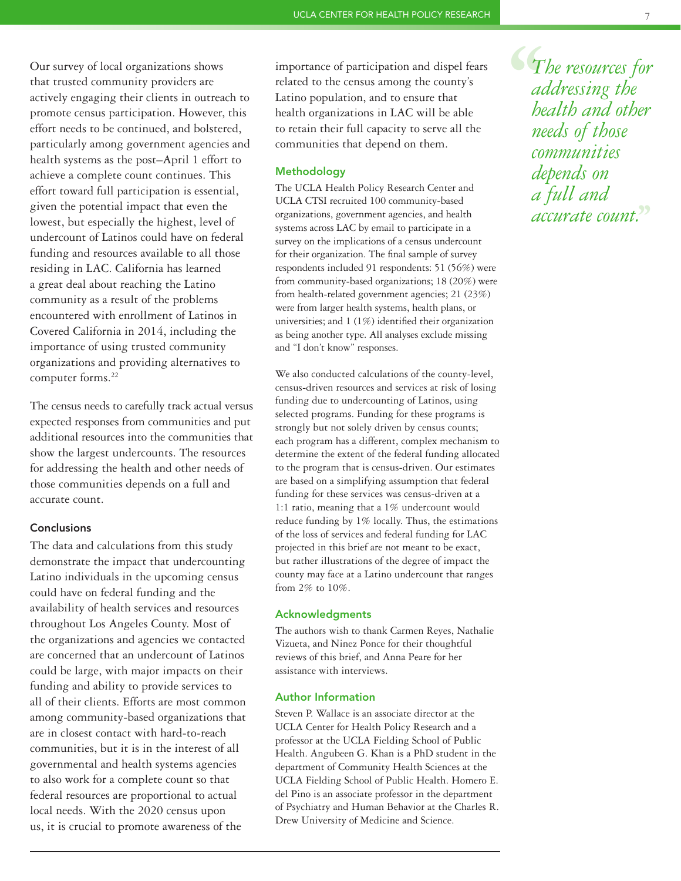Our survey of local organizations shows that trusted community providers are actively engaging their clients in outreach to promote census participation. However, this effort needs to be continued, and bolstered, particularly among government agencies and health systems as the post–April 1 effort to achieve a complete count continues. This effort toward full participation is essential, given the potential impact that even the lowest, but especially the highest, level of undercount of Latinos could have on federal funding and resources available to all those residing in LAC. California has learned a great deal about reaching the Latino community as a result of the problems encountered with enrollment of Latinos in Covered California in 2014, including the importance of using trusted community organizations and providing alternatives to computer forms.<sup>22</sup>

The census needs to carefully track actual versus expected responses from communities and put additional resources into the communities that show the largest undercounts. The resources for addressing the health and other needs of those communities depends on a full and accurate count.

# **Conclusions**

The data and calculations from this study demonstrate the impact that undercounting Latino individuals in the upcoming census could have on federal funding and the availability of health services and resources throughout Los Angeles County. Most of the organizations and agencies we contacted are concerned that an undercount of Latinos could be large, with major impacts on their funding and ability to provide services to all of their clients. Efforts are most common among community-based organizations that are in closest contact with hard-to-reach communities, but it is in the interest of all governmental and health systems agencies to also work for a complete count so that federal resources are proportional to actual local needs. With the 2020 census upon us, it is crucial to promote awareness of the

importance of participation and dispel fears related to the census among the county's Latino population, and to ensure that health organizations in LAC will be able to retain their full capacity to serve all the communities that depend on them.

# Methodology

The UCLA Health Policy Research Center and UCLA CTSI recruited 100 community-based organizations, government agencies, and health systems across LAC by email to participate in a survey on the implications of a census undercount for their organization. The final sample of survey respondents included 91 respondents: 51 (56%) were from community-based organizations; 18 (20%) were from health-related government agencies; 21 (23%) were from larger health systems, health plans, or universities; and 1 (1%) identified their organization as being another type. All analyses exclude missing and "I don't know" responses.

We also conducted calculations of the county-level, census-driven resources and services at risk of losing funding due to undercounting of Latinos, using selected programs. Funding for these programs is strongly but not solely driven by census counts; each program has a different, complex mechanism to determine the extent of the federal funding allocated to the program that is census-driven. Our estimates are based on a simplifying assumption that federal funding for these services was census-driven at a 1:1 ratio, meaning that a 1% undercount would reduce funding by 1% locally. Thus, the estimations of the loss of services and federal funding for LAC projected in this brief are not meant to be exact, but rather illustrations of the degree of impact the county may face at a Latino undercount that ranges from 2% to 10%.

#### Acknowledgments

The authors wish to thank Carmen Reyes, Nathalie Vizueta, and Ninez Ponce for their thoughtful reviews of this brief, and Anna Peare for her assistance with interviews.

# Author Information

Steven P. Wallace is an associate director at the UCLA Center for Health Policy Research and a professor at the UCLA Fielding School of Public Health. Angubeen G. Khan is a PhD student in the department of Community Health Sciences at the UCLA Fielding School of Public Health. Homero E. del Pino is an associate professor in the department of Psychiatry and Human Behavior at the Charles R. Drew University of Medicine and Science.

**647**<br>ac<br>he<br>ne *The resources for addressing the health and other needs of those communities depends on a full and accurate count.***''**